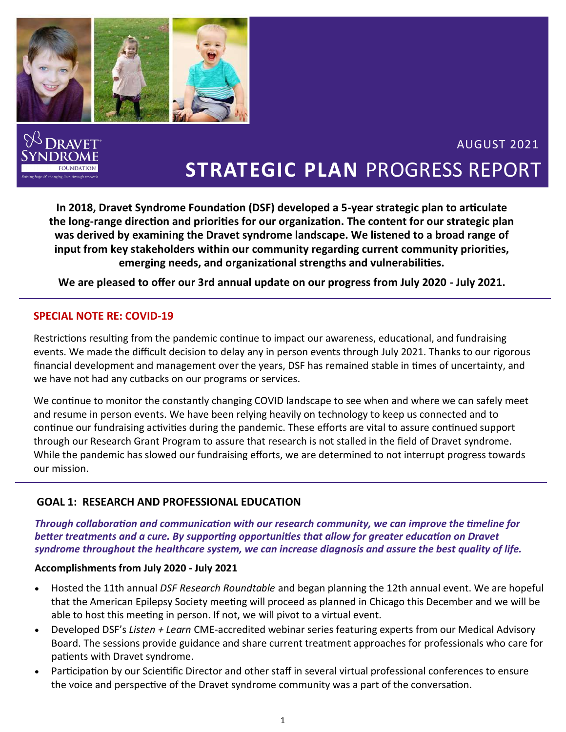

**In 2018, Dravet Syndrome Foundation (DSF) developed a 5-year strategic plan to articulate the long‐range direction and priorities for our organization. The content for our strategic plan was derived by examining the Dravet syndrome landscape. We listened to a broad range of input from key stakeholders within our community regarding current community priorities, emerging needs, and organizational strengths and vulnerabilities.** 

**We are pleased to offer our 3rd annual update on our progress from July 2020 - July 2021.**

### **SPECIAL NOTE RE: COVID-19**

Restrictions resulting from the pandemic continue to impact our awareness, educational, and fundraising events. We made the difficult decision to delay any in person events through July 2021. Thanks to our rigorous financial development and management over the years, DSF has remained stable in times of uncertainty, and we have not had any cutbacks on our programs or services.

We continue to monitor the constantly changing COVID landscape to see when and where we can safely meet and resume in person events. We have been relying heavily on technology to keep us connected and to continue our fundraising activities during the pandemic. These efforts are vital to assure continued support through our Research Grant Program to assure that research is not stalled in the field of Dravet syndrome. While the pandemic has slowed our fundraising efforts, we are determined to not interrupt progress towards our mission.

### **GOAL 1: RESEARCH AND PROFESSIONAL EDUCATION**

*Through collaboration and communication with our research community, we can improve the timeline for better treatments and a cure. By supporting opportunities that allow for greater education on Dravet syndrome throughout the healthcare system, we can increase diagnosis and assure the best quality of life.*

### **Accomplishments from July 2020 - July 2021**

- Hosted the 11th annual *DSF Research Roundtable* and began planning the 12th annual event. We are hopeful that the American Epilepsy Society meeting will proceed as planned in Chicago this December and we will be able to host this meeting in person. If not, we will pivot to a virtual event.
- Developed DSF's *Listen + Learn* CME-accredited webinar series featuring experts from our Medical Advisory Board. The sessions provide guidance and share current treatment approaches for professionals who care for patients with Dravet syndrome.
- Participation by our Scientific Director and other staff in several virtual professional conferences to ensure the voice and perspective of the Dravet syndrome community was a part of the conversation.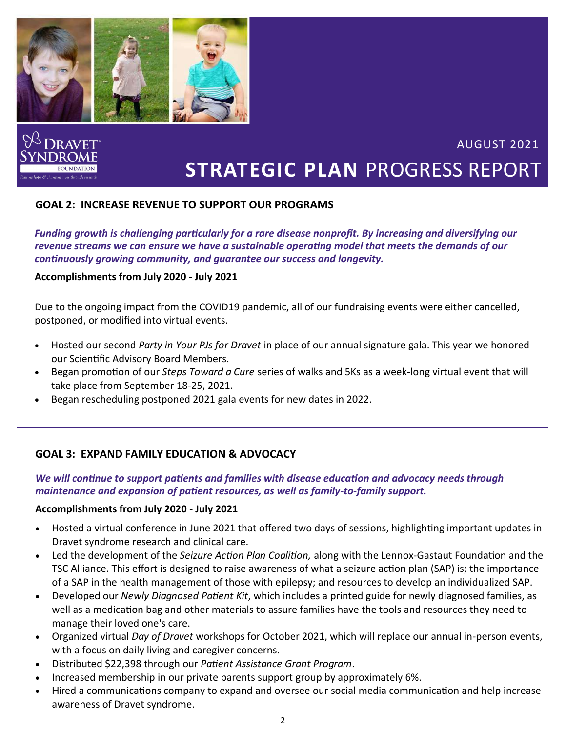

### **GOAL 2: INCREASE REVENUE TO SUPPORT OUR PROGRAMS**

*Funding growth is challenging particularly for a rare disease nonprofit. By increasing and diversifying our revenue streams we can ensure we have a sustainable operating model that meets the demands of our continuously growing community, and guarantee our success and longevity.*

#### **Accomplishments from July 2020 - July 2021**

Due to the ongoing impact from the COVID19 pandemic, all of our fundraising events were either cancelled, postponed, or modified into virtual events.

- Hosted our second *Party in Your PJs for Dravet* in place of our annual signature gala. This year we honored our Scientific Advisory Board Members.
- Began promotion of our *Steps Toward a Cure* series of walks and 5Ks as a week-long virtual event that will take place from September 18-25, 2021.
- Began rescheduling postponed 2021 gala events for new dates in 2022.

### **GOAL 3: EXPAND FAMILY EDUCATION & ADVOCACY**

#### *We will continue to support patients and families with disease education and advocacy needs through maintenance and expansion of patient resources, as well as family-to-family support.*

#### **Accomplishments from July 2020 - July 2021**

- Hosted a virtual conference in June 2021 that offered two days of sessions, highlighting important updates in Dravet syndrome research and clinical care.
- Led the development of the *Seizure Action Plan Coalition,* along with the Lennox-Gastaut Foundation and the TSC Alliance. This effort is designed to raise awareness of what a seizure action plan (SAP) is; the importance of a SAP in the health management of those with epilepsy; and resources to develop an individualized SAP.
- Developed our *Newly Diagnosed Patient Kit*, which includes a printed guide for newly diagnosed families, as well as a medication bag and other materials to assure families have the tools and resources they need to manage their loved one's care.
- Organized virtual *Day of Dravet* workshops for October 2021, which will replace our annual in-person events, with a focus on daily living and caregiver concerns.
- Distributed \$22,398 through our *Patient Assistance Grant Program*.
- Increased membership in our private parents support group by approximately 6%.
- Hired a communications company to expand and oversee our social media communication and help increase awareness of Dravet syndrome.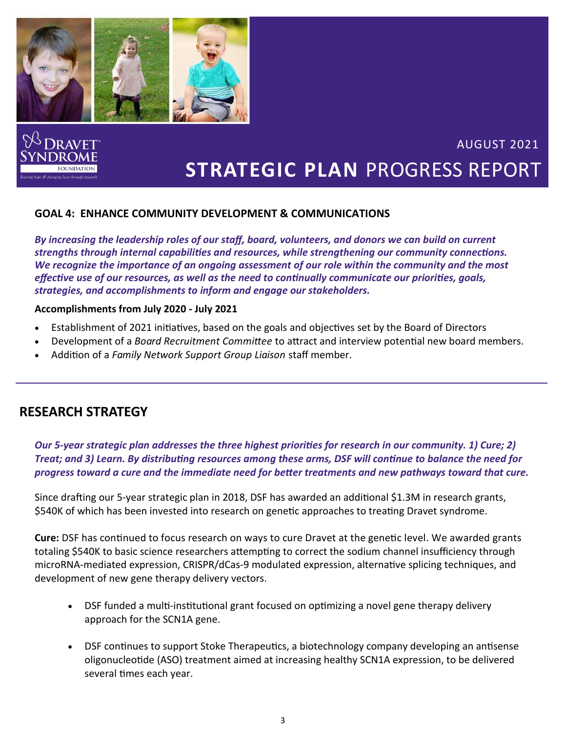

### **GOAL 4: ENHANCE COMMUNITY DEVELOPMENT & COMMUNICATIONS**

*By increasing the leadership roles of our staff, board, volunteers, and donors we can build on current strengths through internal capabilities and resources, while strengthening our community connections. We recognize the importance of an ongoing assessment of our role within the community and the most effective use of our resources, as well as the need to continually communicate our priorities, goals, strategies, and accomplishments to inform and engage our stakeholders.*

#### **Accomplishments from July 2020 - July 2021**

- Establishment of 2021 initiatives, based on the goals and objectives set by the Board of Directors
- Development of a *Board Recruitment Committee* to attract and interview potential new board members.
- Addition of a *Family Network Support Group Liaison* staff member.

### **RESEARCH STRATEGY**

*Our 5-year strategic plan addresses the three highest priorities for research in our community. 1) Cure; 2) Treat; and 3) Learn. By distributing resources among these arms, DSF will continue to balance the need for progress toward a cure and the immediate need for better treatments and new pathways toward that cure.* 

Since drafting our 5-year strategic plan in 2018, DSF has awarded an additional \$1.3M in research grants, \$540K of which has been invested into research on genetic approaches to treating Dravet syndrome.

**Cure:** DSF has continued to focus research on ways to cure Dravet at the genetic level. We awarded grants totaling \$540K to basic science researchers attempting to correct the sodium channel insufficiency through microRNA-mediated expression, CRISPR/dCas-9 modulated expression, alternative splicing techniques, and development of new gene therapy delivery vectors.

- DSF funded a multi-institutional grant focused on optimizing a novel gene therapy delivery approach for the SCN1A gene.
- DSF continues to support Stoke Therapeutics, a biotechnology company developing an antisense oligonucleotide (ASO) treatment aimed at increasing healthy SCN1A expression, to be delivered several times each year.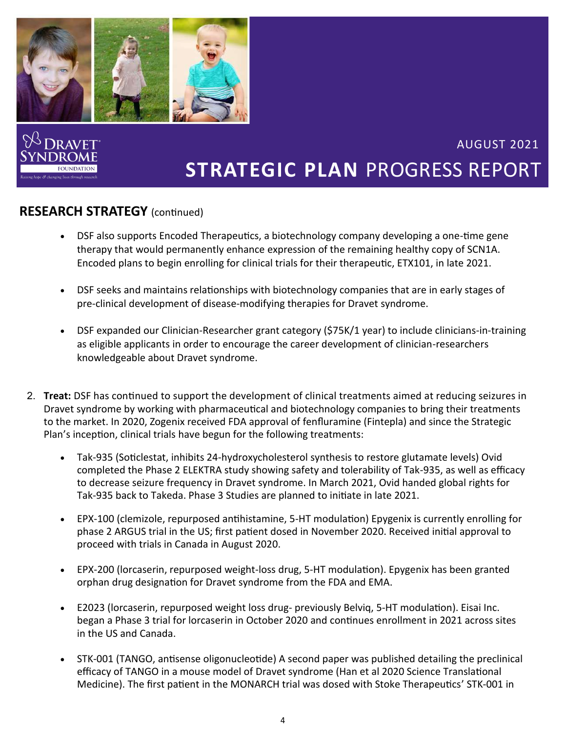

## **RESEARCH STRATEGY** (continued)

- DSF also supports Encoded Therapeutics, a biotechnology company developing a one-time gene therapy that would permanently enhance expression of the remaining healthy copy of SCN1A. Encoded plans to begin enrolling for clinical trials for their therapeutic, ETX101, in late 2021.
- DSF seeks and maintains relationships with biotechnology companies that are in early stages of pre-clinical development of disease-modifying therapies for Dravet syndrome.
- DSF expanded our Clinician-Researcher grant category (\$75K/1 year) to include clinicians-in-training as eligible applicants in order to encourage the career development of clinician-researchers knowledgeable about Dravet syndrome.
- 2. **Treat:** DSF has continued to support the development of clinical treatments aimed at reducing seizures in Dravet syndrome by working with pharmaceutical and biotechnology companies to bring their treatments to the market. In 2020, Zogenix received FDA approval of fenfluramine (Fintepla) and since the Strategic Plan's inception, clinical trials have begun for the following treatments:
	- Tak-935 (Soticlestat, inhibits 24-hydroxycholesterol synthesis to restore glutamate levels) Ovid completed the Phase 2 ELEKTRA study showing safety and tolerability of Tak-935, as well as efficacy to decrease seizure frequency in Dravet syndrome. In March 2021, Ovid handed global rights for Tak-935 back to Takeda. Phase 3 Studies are planned to initiate in late 2021.
	- EPX-100 (clemizole, repurposed antihistamine, 5-HT modulation) Epygenix is currently enrolling for phase 2 ARGUS trial in the US; first patient dosed in November 2020. Received initial approval to proceed with trials in Canada in August 2020.
	- EPX-200 (lorcaserin, repurposed weight-loss drug, 5-HT modulation). Epygenix has been granted orphan drug designation for Dravet syndrome from the FDA and EMA.
	- E2023 (lorcaserin, repurposed weight loss drug- previously Belviq, 5-HT modulation). Eisai Inc. began a Phase 3 trial for lorcaserin in October 2020 and continues enrollment in 2021 across sites in the US and Canada.
	- STK-001 (TANGO, antisense oligonucleotide) A second paper was published detailing the preclinical efficacy of TANGO in a mouse model of Dravet syndrome (Han et al 2020 Science Translational Medicine). The first patient in the MONARCH trial was dosed with Stoke Therapeutics' STK-001 in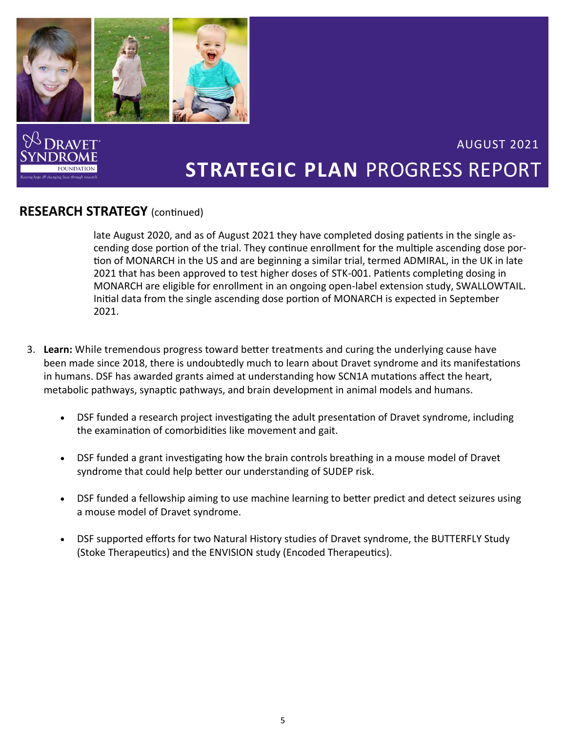

## **RESEARCH STRATEGY** (continued)

late August 2020, and as of August 2021 they have completed dosing patients in the single ascending dose portion of the trial. They continue enrollment for the multiple ascending dose portion of MONARCH in the US and are beginning a similar trial, termed ADMIRAL, in the UK in late 2021 that has been approved to test higher doses of STK-001. Patients completing dosing in MONARCH are eligible for enrollment in an ongoing open-label extension study, SWALLOWTAIL. Initial data from the single ascending dose portion of MONARCH is expected in September 2021.

- 3. **Learn:** While tremendous progress toward better treatments and curing the underlying cause have been made since 2018, there is undoubtedly much to learn about Dravet syndrome and its manifestations in humans. DSF has awarded grants aimed at understanding how SCN1A mutations affect the heart, metabolic pathways, synaptic pathways, and brain development in animal models and humans.
	- DSF funded a research project investigating the adult presentation of Dravet syndrome, including the examination of comorbidities like movement and gait.
	- DSF funded a grant investigating how the brain controls breathing in a mouse model of Dravet syndrome that could help better our understanding of SUDEP risk.
	- DSF funded a fellowship aiming to use machine learning to better predict and detect seizures using a mouse model of Dravet syndrome.
	- DSF supported efforts for two Natural History studies of Dravet syndrome, the BUTTERFLY Study (Stoke Therapeutics) and the ENVISION study (Encoded Therapeutics).